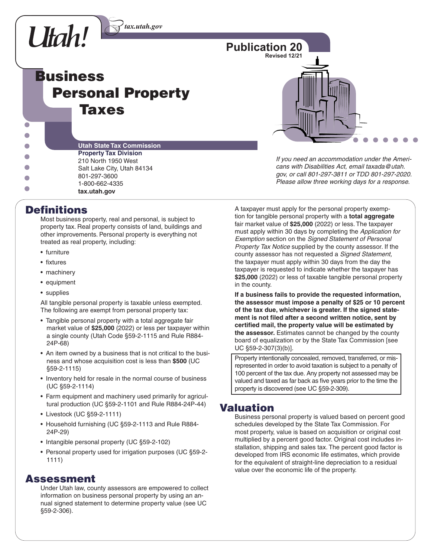

**Business Personal Property Taxes**



**Utah State Tax Commission Property Tax Division** 210 North 1950 West Salt Lake City, Utah 84134 801-297-3600 1-800-662-4335  $\overline{\phantom{0}}$ **tax.utah.gov**

# **Definitions**

 $\bullet$  $\overline{\phantom{a}}$ 

> Most business property, real and personal, is subject to property tax. Real property consists of land, buildings and other improvements. Personal property is everything not treated as real property, including:

- furniture
- fixtures
- machinery
- equipment
- supplies

All tangible personal property is taxable unless exempted. The following are exempt from personal property tax:

- Tangible personal property with a total aggregate fair market value of **\$25,000** (2022) or less per taxpayer within a single county (Utah Code §59-2-1115 and Rule R884- 24P-68)
- An item owned by a business that is not critical to the business and whose acquisition cost is less than **\$500** (UC §59-2-1115)
- Inventory held for resale in the normal course of business (UC §59-2-1114)
- Farm equipment and machinery used primarily for agricultural production (UC §59-2-1101 and Rule R884-24P-44)
- Livestock (UC §59-2-1111)
- Household furnishing (UC §59-2-1113 and Rule R884- 24P-29)
- Intangible personal property (UC §59-2-102)
- Personal property used for irrigation purposes (UC §59-2- 1111)

### **Assessment**

Under Utah law, county assessors are empowered to collect information on business personal property by using an annual signed statement to determine property value (see UC §59-2-306).

*If you need an accommodation under the Americans with Disabilities Act, email taxada@utah. gov, or call 801-297-3811 or TDD 801-297-2020. Please allow three working days for a response.*

A taxpayer must apply for the personal property exemption for tangible personal property with a **total aggregate** fair market value of **\$25,000** (2022) or less. The taxpayer must apply within 30 days by completing the *Application for Exemption* section on the *Signed Statement of Personal Property Tax Notice* supplied by the county assessor. If the county assessor has not requested a *Signed Statement,*  the taxpayer must apply within 30 days from the day the taxpayer is requested to indicate whether the taxpayer has **\$25,000** (2022) or less of taxable tangible personal property in the county.

**If a business fails to provide the requested information, the assessor must impose a penalty of \$25 or 10 percent of the tax due, whichever is greater. If the signed state**ment is not filed after a second written notice, sent by certified mail, the property value will be estimated by **the assessor.** Estimates cannot be changed by the county board of equalization or by the State Tax Commission [see UC §59-2-307(3)(b)].

Property intentionally concealed, removed, transferred, or misrepresented in order to avoid taxation is subject to a penalty of 100 percent of the tax due. Any property not assessed may be valued and taxed as far back as five years prior to the time the property is discovered (see UC §59-2-309).

# **Valuation**

Business personal property is valued based on percent good schedules developed by the State Tax Commission. For most property, value is based on acquisition or original cost multiplied by a percent good factor. Original cost includes installation, shipping and sales tax. The percent good factor is developed from IRS economic life estimates, which provide for the equivalent of straight-line depreciation to a residual value over the economic life of the property.